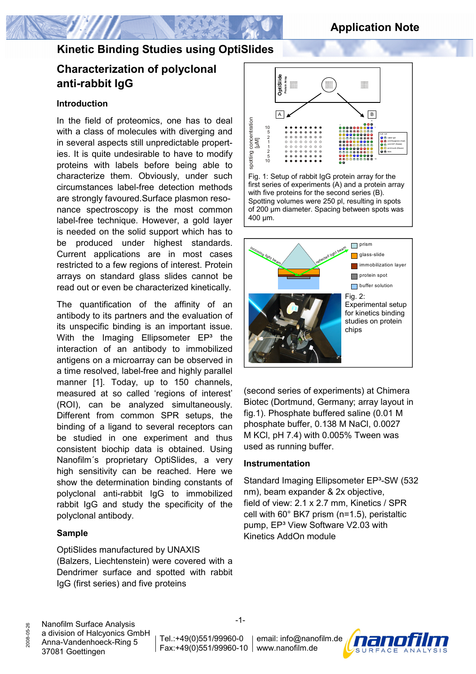# **Characterization of polyclonal anti-rabbit IgG**

#### **Introduction**

In the field of proteomics, one has to deal with a class of molecules with diverging and in several aspects still unpredictable properties. It is quite undesirable to have to modify proteins with labels before being able to characterize them. Obviously, under such circumstances label-free detection methods are strongly favoured.Surface plasmon resonance spectroscopy is the most common label-free technique. However, a gold layer is needed on the solid support which has to be produced under highest standards. Current applications are in most cases restricted to a few regions of interest. Protein arrays on standard glass slides cannot be read out or even be characterized kinetically.

The quantification of the affinity of an antibody to its partners and the evaluation of its unspecific binding is an important issue. With the Imaging Ellipsometer  $EP<sup>3</sup>$  the interaction of an antibody to immobilized antigens on a microarray can be observed in a time resolved, label-free and highly parallel manner [1]. Today, up to 150 channels, measured at so called 'regions of interest' (ROI), can be analyzed simultaneously. Different from common SPR setups, the binding of a ligand to several receptors can be studied in one experiment and thus consistent biochip data is obtained. Using Nanofilm´s proprietary OptiSlides, a very high sensitivity can be reached. Here we show the determination binding constants of polyclonal anti-rabbit IgG to immobilized rabbit IgG and study the specificity of the polyclonal antibody.

#### **Sample**

OptiSlides manufactured by UNAXIS (Balzers, Liechtenstein) were covered with a Dendrimer surface and spotted with rabbit IgG (first series) and five proteins



Fig. 1: Setup of rabbit IgG protein array for the first series of experiments (A) and a protein array with five proteins for the second series (B). Spotting volumes were 250 pl, resulting in spots of 200 µm diameter. Spacing between spots was 400 µm.



(second series of experiments) at Chimera Biotec (Dortmund, Germany; array layout in fig.1). Phosphate buffered saline (0.01 M phosphate buffer, 0.138 M NaCl, 0.0027 M KCl, pH 7.4) with 0.005% Tween was used as running buffer.

#### **Instrumentation**

Standard Imaging Ellipsometer EP<sup>3</sup>-SW (532) nm), beam expander & 2x objective, field of view: 2.1 x 2.7 mm, Kinetics / SPR cell with 60° BK7 prism (n=1.5), peristaltic pump, EP<sup>3</sup> View Software V2.03 with Kinetics AddOn module

Nanofilm Surface Analysis a division of Halcyonics GmbH Anna-Vandenhoeck-Ring 5 37081 Goettingen

2008-05-26

2008-05-26

Tel.:+49(0)551/99960-0

Fax:+49(0)551/99960-10 www.nanofilm.de email: info@nanofilm.de

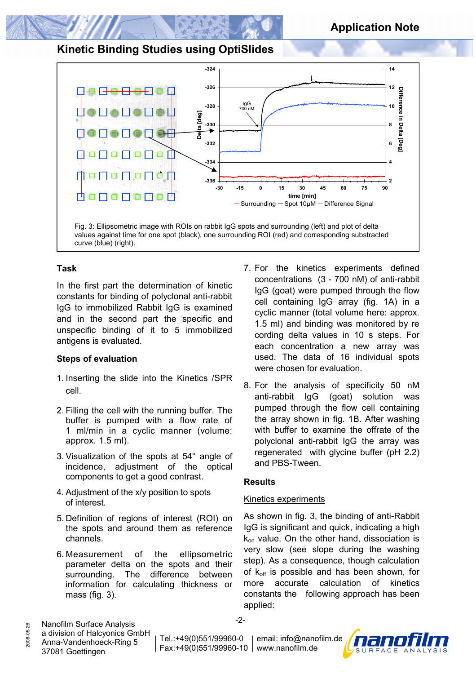

#### **Task**

In the first part the determination of kinetic constants for binding of polyclonal anti-rabbit IgG to immobilized Rabbit IgG is examined and in the second part the specific and unspecific binding of it to 5 immobilized antigens is evaluated.

#### **Steps of evaluation**

- 1. Inserting the slide into the Kinetics /SPR cell.
- 2. Filling the cell with the running buffer. The buffer is pumped with a flow rate of 1 ml/min in a cyclic manner (volume: approx. 1.5 ml).
- 3. Visualization of the spots at 54° angle of incidence, adjustment of the optical components to get a good contrast.
- 4. Adjustment of the x/y position to spots of interest.
- 5. Definition of regions of interest (ROI) on the spots and around them as reference channels.
- 6. Measurement of the ellipsometric parameter delta on the spots and their surrounding. The difference between information for calculating thickness or mass (fig. 3).
- 7. For the kinetics experiments defined concentrations (3 - 700 nM) of anti-rabbit IgG (goat) were pumped through the flow cell containing IgG array (fig. 1A) in a cyclic manner (total volume here: approx. 1.5 ml) and binding was monitored by re cording delta values in 10 s steps. For each concentration a new array was used. The data of 16 individual spots were chosen for evaluation.
- 8. For the analysis of specificity 50 nM anti-rabbit IgG (goat) solution was pumped through the flow cell containing the array shown in fig. 1B. After washing with buffer to examine the offrate of the polyclonal anti-rabbit IgG the array was regenerated with glycine buffer (pH 2.2) and PBS-Tween.

#### **Results**

#### Kinetics experiments

As shown in fig. 3, the binding of anti-Rabbit IgG is significant and quick, indicating a high  $k_{on}$  value. On the other hand, dissociation is very slow (see slope during the washing step). As a consequence, though calculation of  $k_{off}$  is possible and has been shown, for more accurate calculation of kinetics constants the following approach has been applied:

Nanofilm Surface Analysis a division of Halcyonics GmbH

2008-05-26

2008-05-26

-2-

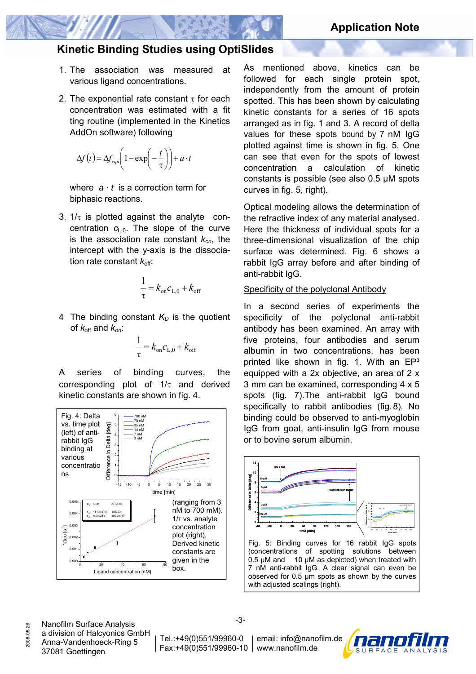- 1. The association was measured at various ligand concentrations.
- 2. The exponential rate constant  $\tau$  for each concentration was estimated with a fit ting routine (implemented in the Kinetics AddOn software) following

$$
\Delta f(t) = \Delta f_{equ}\left(1 - \exp\left(-\frac{t}{\tau}\right)\right) + a \cdot t
$$

 where *a · t* is a correction term for biphasic reactions.

3.  $1/\tau$  is plotted against the analyte concentration  $c_{L,0}$ . The slope of the curve is the association rate constant *kon*, the intercept with the y-axis is the dissocia tion rate constant  $k_{\text{off}}$ :

$$
\frac{1}{\tau} = k_{\text{on}} c_{\text{L},0} + k_{\text{off}}
$$

4 The binding constant  $K<sub>D</sub>$  is the quotient of  $k_{\text{off}}$  and  $k_{\text{on}}$ :

$$
\frac{1}{\tau} = k_{\text{on}} c_{\text{L},0} + k_{\text{off}}
$$

A series of binding curves, the corresponding plot of  $1/\tau$  and derived kinetic constants are shown in fig. 4.



As mentioned above, kinetics can be followed for each single protein spot, independently from the amount of protein spotted. This has been shown by calculating kinetic constants for a series of 16 spots arranged as in fig. 1 and 3. A record of delta values for these spots bound by 7 nM IgG plotted against time is shown in fig. 5. One can see that even for the spots of lowest concentration a calculation of kinetic constants is possible (see also 0.5 µM spots curves in fig. 5, right).

Optical modeling allows the determination of the refractive index of any material analysed. Here the thickness of individual spots for a three-dimensional visualization of the chip surface was determined. Fig. 6 shows a rabbit IgG array before and after binding of anti-rabbit IgG.

#### Specificity of the polyclonal Antibody

In a second series of experiments the specificity of the polyclonal anti-rabbit antibody has been examined. An array with five proteins, four antibodies and serum albumin in two concentrations, has been printed like shown in fig. 1. With an  $EP<sup>3</sup>$ equipped with a 2x objective, an area of 2 x 3 mm can be examined, corresponding 4 x 5 spots (fig. 7).The anti-rabbit IgG bound specifically to rabbit antibodies (fig. 8). No binding could be observed to anti-myoglobin IgG from goat, anti-insulin IgG from mouse or to bovine serum albumin.



Fig. 5: Binding curves for 16 rabbit IgG spots (concentrations of spotting solutions between 0.5  $\mu$ M and 10  $\mu$ M as depicted) when treated with 7 nM anti-rabbit IgG. A clear signal can even be observed for 0.5 µm spots as shown by the curves with adjusted scalings (right).

Nanofilm Surface Analysis a division of Halcyonics GmbH Anna-Vandenhoeck-Ring 5 37081 Goettingen

2008-05-26

2008-05-26

Tel.:+49(0)551/99960-0